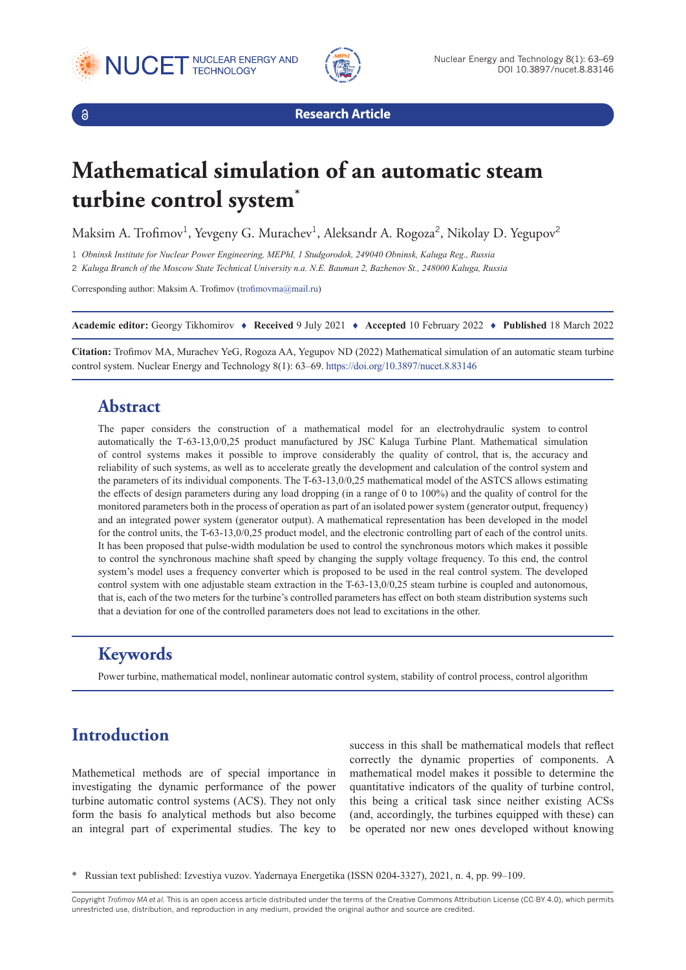





**Research Article**

# **Mathematical simulation of an automatic steam turbine control system\***

Maksim A. Trofimov<sup>1</sup>, Yevgeny G. Murachev<sup>1</sup>, Aleksandr A. Rogoza<sup>2</sup>, Nikolay D. Yegupov<sup>2</sup>

1 *Obninsk Institute for Nuclear Power Engineering, MEPhI, 1 Studgorodok, 249040 Obninsk, Kaluga Reg., Russia*

2 *Kaluga Branch of the Moscow State Technical University n.a. N.E. Bauman 2, Bazhenov St., 248000 Kaluga, Russia*

Corresponding author: Maksim A. Trofimov ([trofimovma@mail.ru](mailto:trofimovma@mail.ru))

**Academic editor:** Georgy Tikhomirov ♦ **Received** 9 July 2021 ♦ **Accepted** 10 February 2022 ♦ **Published** 18 March 2022

**Citation:** Trofimov MA, Murachev YeG, Rogoza AA, Yegupov ND (2022) Mathematical simulation of an automatic steam turbine control system. Nuclear Energy and Technology 8(1): 63–69.<https://doi.org/10.3897/nucet.8.83146>

#### **Abstract**

The paper considers the construction of a mathematical model for an electrohydraulic system to control automatically the Т-63-13,0/0,25 product manufactured by JSC Kaluga Turbine Plant. Mathematical simulation of control systems makes it possible to improve considerably the quality of control, that is, the accuracy and reliability of such systems, as well as to accelerate greatly the development and calculation of the control system and the parameters of its individual components. The T-63-13,0/0,25 mathematical model of the ASTCS allows estimating the effects of design parameters during any load dropping (in a range of 0 to 100%) and the quality of control for the monitored parameters both in the process of operation as part of an isolated power system (generator output, frequency) and an integrated power system (generator output). A mathematical representation has been developed in the model for the control units, the T-63-13,0/0,25 product model, and the electronic controlling part of each of the control units. It has been proposed that pulse-width modulation be used to control the synchronous motors which makes it possible to control the synchronous machine shaft speed by changing the supply voltage frequency. To this end, the control system's model uses a frequency converter which is proposed to be used in the real control system. The developed control system with one adjustable steam extraction in the T-63-13,0/0,25 steam turbine is coupled and autonomous, that is, each of the two meters for the turbine's controlled parameters has effect on both steam distribution systems such that a deviation for one of the controlled parameters does not lead to excitations in the other.

### **Keywords**

Power turbine, mathematical model, nonlinear automatic control system, stability of control process, control algorithm

## **Introduction**

Mathemetical methods are of special importance in investigating the dynamic performance of the power turbine automatic control systems (ACS). They not only form the basis fo analytical methods but also become an integral part of experimental studies. The key to

success in this shall be mathematical models that reflect correctly the dynamic properties of components. A mathematical model makes it possible to determine the quantitative indicators of the quality of turbine control, this being a critical task since neither existing ACSs (and, accordingly, the turbines equipped with these) can be operated nor new ones developed without knowing

Copyright *Trofimov MA et al.* This is an open access article distributed under the terms of the Creative Commons Attribution License (CC-BY 4.0), which permits unrestricted use, distribution, and reproduction in any medium, provided the original author and source are credited.

<sup>\*</sup> Russian text published: Izvestiya vuzov. Yadernaya Energetika (ISSN 0204-3327), 2021, n. 4, pp. 99–109.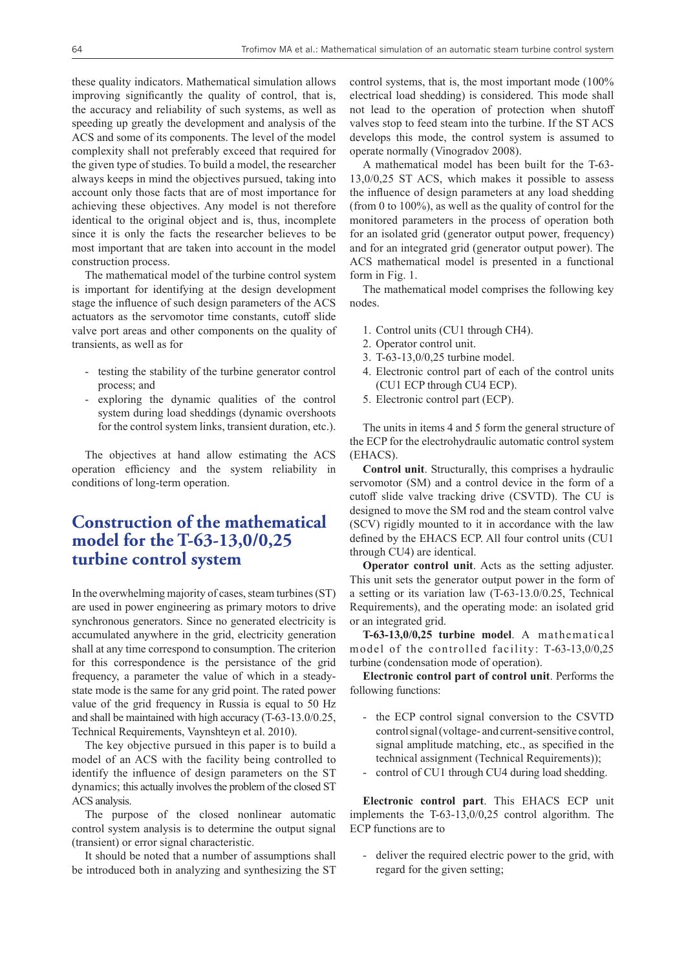these quality indicators. Mathematical simulation allows improving significantly the quality of control, that is, the accuracy and reliability of such systems, as well as speeding up greatly the development and analysis of the ACS and some of its components. The level of the model complexity shall not preferably exceed that required for the given type of studies. To build a model, the researcher always keeps in mind the objectives pursued, taking into account only those facts that are of most importance for achieving these objectives. Any model is not therefore identical to the original object and is, thus, incomplete since it is only the facts the researcher believes to be most important that are taken into account in the model construction process.

The mathematical model of the turbine control system is important for identifying at the design development stage the influence of such design parameters of the ACS actuators as the servomotor time constants, cutoff slide valve port areas and other components on the quality of transients, as well as for

- testing the stability of the turbine generator control process; and
- exploring the dynamic qualities of the control system during load sheddings (dynamic overshoots for the control system links, transient duration, etc.).

The objectives at hand allow estimating the ACS operation efficiency and the system reliability in conditions of long-term operation.

#### **Construction of the mathematical model for the T-63-13,0/0,25 turbine control system**

In the overwhelming majority of cases, steam turbines (ST) are used in power engineering as primary motors to drive synchronous generators. Since no generated electricity is accumulated anywhere in the grid, electricity generation shall at any time correspond to consumption. The criterion for this correspondence is the persistance of the grid frequency, a parameter the value of which in a steadystate mode is the same for any grid point. The rated power value of the grid frequency in Russia is equal to 50 Hz and shall be maintained with high accuracy (T-63-13.0/0.25, Technical Requirements, Vaynshteyn et al. 2010).

The key objective pursued in this paper is to build a model of an ACS with the facility being controlled to identify the influence of design parameters on the ST dynamics; this actually involves the problem of the closed ST ACS analysis.

The purpose of the closed nonlinear automatic control system analysis is to determine the output signal (transient) or error signal characteristic.

It should be noted that a number of assumptions shall be introduced both in analyzing and synthesizing the ST control systems, that is, the most important mode (100% electrical load shedding) is considered. This mode shall not lead to the operation of protection when shutoff valves stop to feed steam into the turbine. If the ST ACS develops this mode, the control system is assumed to operate normally (Vinogradov 2008).

A mathematical model has been built for the T-63- 13,0/0,25 ST ACS, which makes it possible to assess the influence of design parameters at any load shedding (from 0 to 100%), as well as the quality of control for the monitored parameters in the process of operation both for an isolated grid (generator output power, frequency) and for an integrated grid (generator output power). The ACS mathematical model is presented in a functional form in Fig. 1.

The mathematical model comprises the following key nodes.

- 1. Control units (CU1 through CH4).
- 2. Operator control unit.
- 3. T-63-13,0/0,25 turbine model.
- 4. Electronic control part of each of the control units (CU1 ECP through CU4 ECP).
- 5. Electronic control part (ECP).

The units in items 4 and 5 form the general structure of the ECP for the electrohydraulic automatic control system (EHACS).

**Control unit**. Structurally, this comprises a hydraulic servomotor (SM) and a control device in the form of a cutoff slide valve tracking drive (CSVTD). The CU is designed to move the SM rod and the steam control valve (SCV) rigidly mounted to it in accordance with the law defined by the EHACS ECP. All four control units (CU1 through CU4) are identical.

**Operator control unit**. Acts as the setting adjuster. This unit sets the generator output power in the form of a setting or its variation law (T-63-13.0/0.25, Technical Requirements), and the operating mode: an isolated grid or an integrated grid.

**T-63-13,0/0,25 turbine model**. A mathematical model of the controlled facility: T-63-13,0/0,25 turbine (condensation mode of operation).

**Electronic control part of control unit**. Performs the following functions:

- the ECP control signal conversion to the CSVTD control signal (voltage- and current-sensitive control, signal amplitude matching, etc., as specified in the technical assignment (Technical Requirements));
- control of CU1 through CU4 during load shedding.

**Electronic control part**. This EHACS ECP unit implements the T-63-13,0/0,25 control algorithm. The ECP functions are to

- deliver the required electric power to the grid, with regard for the given setting;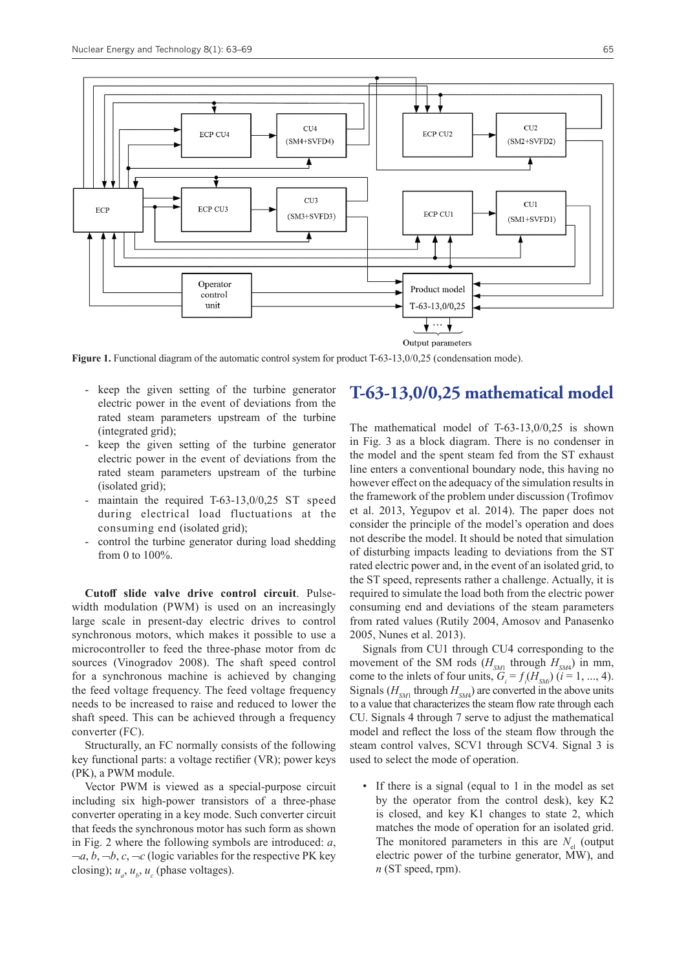

Figure 1. Functional diagram of the automatic control system for product T-63-13,0/0,25 (condensation mode).

- keep the given setting of the turbine generator electric power in the event of deviations from the rated steam parameters upstream of the turbine (integrated grid);
- keep the given setting of the turbine generator electric power in the event of deviations from the rated steam parameters upstream of the turbine (isolated grid);
- maintain the required  $T-63-13,0/0,25$  ST speed during electrical load fluctuations at the consuming end (isolated grid);
- control the turbine generator during load shedding from 0 to 100%.

**Cutoff slide valve drive control circuit**. Pulsewidth modulation (PWM) is used on an increasingly large scale in present-day electric drives to control synchronous motors, which makes it possible to use a microcontroller to feed the three-phase motor from dc sources (Vinogradov 2008). The shaft speed control for a synchronous machine is achieved by changing the feed voltage frequency. The feed voltage frequency needs to be increased to raise and reduced to lower the shaft speed. This can be achieved through a frequency converter (FC).

Structurally, an FC normally consists of the following key functional parts: a voltage rectifier (VR); power keys (PK), a PWM module.

Vector PWM is viewed as a special-purpose circuit including six high-power transistors of a three-phase converter operating in a key mode. Such converter circuit that feeds the synchronous motor has such form as shown in Fig. 2 where the following symbols are introduced: *a*,  $\neg a, b, \neg b, c, \neg c$  (logic variables for the respective PK key closing);  $u_a$ ,  $u_b$ ,  $u_c$  (phase voltages).

#### **T-63-13,0/0,25 mathematical model**

The mathematical model of T-63-13,0/0,25 is shown in Fig. 3 as a block diagram. There is no condenser in the model and the spent steam fed from the ST exhaust line enters a conventional boundary node, this having no however effect on the adequacy of the simulation results in the framework of the problem under discussion (Trofimov et al. 2013, Yegupov et al. 2014). The paper does not consider the principle of the model's operation and does not describe the model. It should be noted that simulation of disturbing impacts leading to deviations from the ST rated electric power and, in the event of an isolated grid, to the ST speed, represents rather a challenge. Actually, it is required to simulate the load both from the electric power consuming end and deviations of the steam parameters from rated values (Rutily 2004, Amosov and Panasenko 2005, Nunes et al. 2013).

Signals from CU1 through CU4 corresponding to the movement of the SM rods  $(H_{SM1}$  through  $H_{SM4}$ ) in mm, come to the inlets of four units,  $G_i = f_i(H_{SM})$  (*i* = 1, ..., 4). Signals ( $H<sub>SM1</sub>$  through  $H<sub>SM4</sub>$ ) are converted in the above units to a value that characterizes the steam flow rate through each CU. Signals 4 through 7 serve to adjust the mathematical model and reflect the loss of the steam flow through the steam control valves, SCV1 through SCV4. Signal 3 is used to select the mode of operation.

• If there is a signal (equal to 1 in the model as set by the operator from the control desk), key K2 is closed, and key K1 changes to state 2, which matches the mode of operation for an isolated grid. The monitored parameters in this are  $N_{\rm d}$  (output electric power of the turbine generator, MW), and *n* (ST speed, rpm).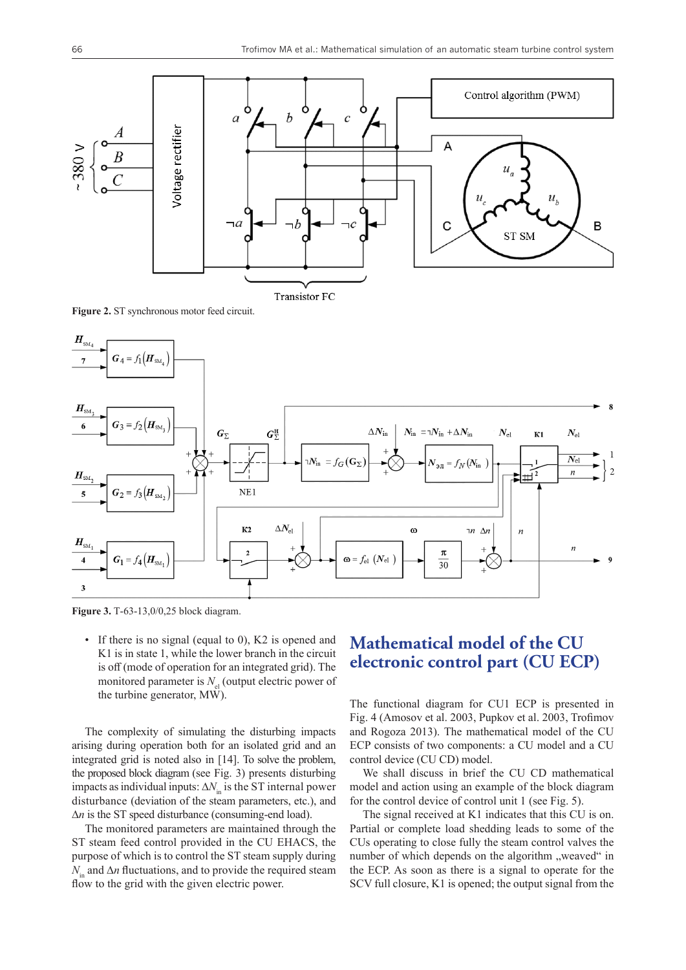

Transistor FC

**Figure 2.** ST synchronous motor feed circuit.



**Figure 3.** Т-63-13,0/0,25 block diagram.

• If there is no signal (equal to 0), K2 is opened and K1 is in state 1, while the lower branch in the circuit is off (mode of operation for an integrated grid). The monitored parameter is  $N_{\mu}$  (output electric power of the turbine generator, MW).

The complexity of simulating the disturbing impacts arising during operation both for an isolated grid and an integrated grid is noted also in [14]. To solve the problem, the proposed block diagram (see Fig. 3) presents disturbing impacts as individual inputs:  $\Delta N_{in}$  is the ST internal power disturbance (deviation of the steam parameters, etc.), and  $\Delta n$  is the ST speed disturbance (consuming-end load).

The monitored parameters are maintained through the ST steam feed control provided in the CU EHACS, the purpose of which is to control the ST steam supply during  $N_{\text{in}}$  and  $\Delta n$  fluctuations, and to provide the required steam flow to the grid with the given electric power.

#### **Mathematical model of the CU electronic control part (CU ECP)**

The functional diagram for CU1 ECP is presented in Fig. 4 (Amosov et al. 2003, Pupkov et al. 2003, Trofimov and Rogoza 2013). The mathematical model of the CU ECP consists of two components: a CU model and a CU control device (CU CD) model.

We shall discuss in brief the CU CD mathematical model and action using an example of the block diagram for the control device of control unit 1 (see Fig. 5).

The signal received at K1 indicates that this CU is on. Partial or complete load shedding leads to some of the CUs operating to close fully the steam control valves the number of which depends on the algorithm "weaved" in the ECP. As soon as there is a signal to operate for the SCV full closure, K1 is opened; the output signal from the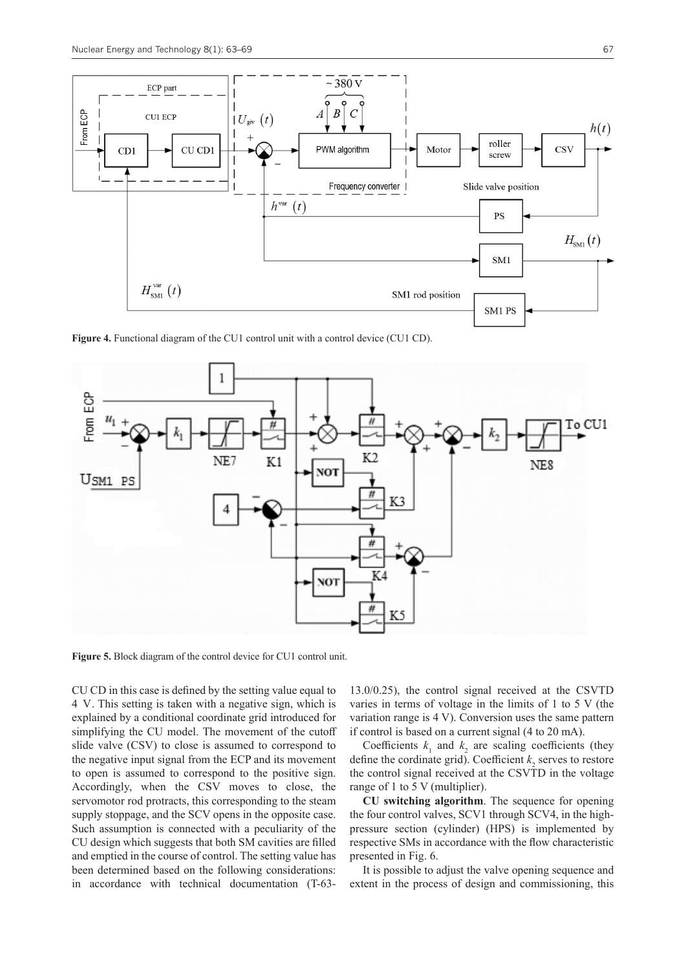

**Figure 4.** Functional diagram of the CU1 control unit with a control device (CU1 CD).



**Figure 5.** Block diagram of the control device for CU1 control unit.

CU CD in this case is defined by the setting value equal to 4 V. This setting is taken with a negative sign, which is explained by a conditional coordinate grid introduced for simplifying the CU model. The movement of the cutoff slide valve (CSV) to close is assumed to correspond to the negative input signal from the ECP and its movement to open is assumed to correspond to the positive sign. Accordingly, when the CSV moves to close, the servomotor rod protracts, this corresponding to the steam supply stoppage, and the SCV opens in the opposite case. Such assumption is connected with a peculiarity of the CU design which suggests that both SM cavities are filled and emptied in the course of control. The setting value has been determined based on the following considerations: in accordance with technical documentation (T-6313.0/0.25), the control signal received at the CSVTD varies in terms of voltage in the limits of 1 to 5 V (the variation range is 4 V). Conversion uses the same pattern if control is based on a current signal (4 to 20 mA).

Coefficients  $k_1$  and  $k_2$  are scaling coefficients (they define the cordinate grid). Coefficient  $k_2$  serves to restore the control signal received at the CSVTD in the voltage range of 1 to 5 V (multiplier).

**CU switching algorithm**. The sequence for opening the four control valves, SCV1 through SCV4, in the highpressure section (cylinder) (HPS) is implemented by respective SMs in accordance with the flow characteristic presented in Fig. 6.

It is possible to adjust the valve opening sequence and extent in the process of design and commissioning, this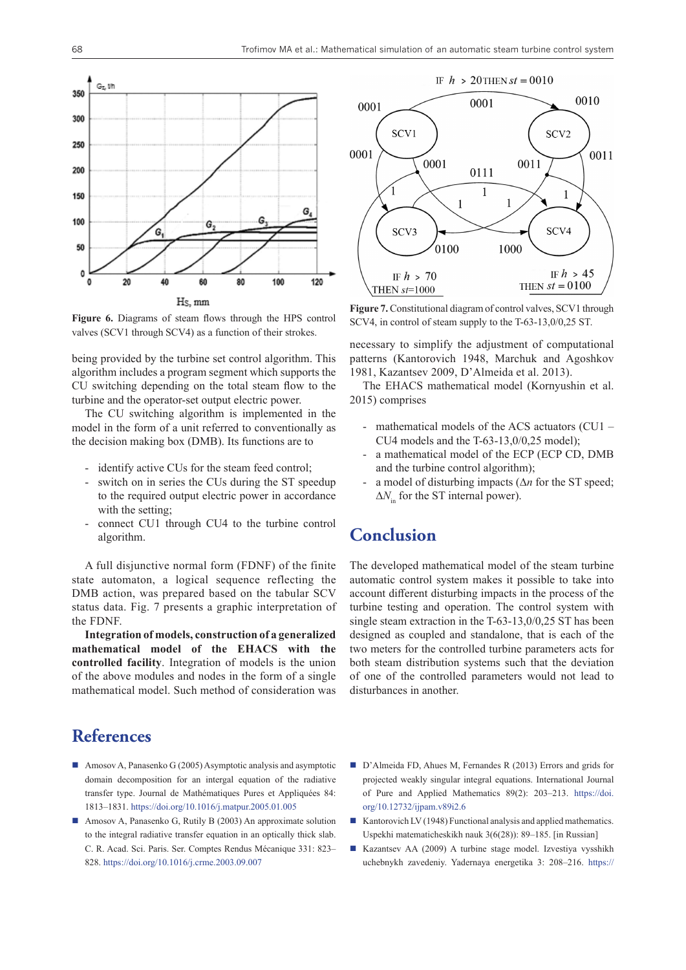

**Figure 6.** Diagrams of steam flows through the HPS control valves (SCV1 through SCV4) as a function of their strokes.

being provided by the turbine set control algorithm. This algorithm includes a program segment which supports the CU switching depending on the total steam flow to the turbine and the operator-set output electric power.

The CU switching algorithm is implemented in the model in the form of a unit referred to conventionally as the decision making box (DMB). Its functions are to

- identify active CUs for the steam feed control;
- switch on in series the CUs during the ST speedup to the required output electric power in accordance with the setting;
- connect CU1 through CU4 to the turbine control algorithm.

A full disjunctive normal form (FDNF) of the finite state automaton, a logical sequence reflecting the DMB action, was prepared based on the tabular SCV status data. Fig. 7 presents a graphic interpretation of the FDNF.

**Integration of models, construction of a generalized mathematical model of the EHACS with the controlled facility**. Integration of models is the union of the above modules and nodes in the form of a single mathematical model. Such method of consideration was

#### **References**

- Amosov A, Panasenko G (2005) Asymptotic analysis and asymptotic domain decomposition for an intergal equation of the radiative transfer type. Journal de Mathématiques Pures et Appliquées 84: 1813–1831. <https://doi.org/10.1016/j.matpur.2005.01.005>
- Amosov A, Panasenko G, Rutily B (2003) An approximate solution to the integral radiative transfer equation in an optically thick slab. C. R. Acad. Sci. Paris. Ser. Comptes Rendus Mécanique 331: 823– 828. <https://doi.org/10.1016/j.crme.2003.09.007>



**Figure 7.** Constitutional diagram of control valves, SCV1 through SCV4, in control of steam supply to the T-63-13,0/0,25 ST.

necessary to simplify the adjustment of computational patterns (Kantorovich 1948, Marchuk and Agoshkov 1981, Kazantsev 2009, D'Almeida et al. 2013).

The EHACS mathematical model (Kornyushin et al. 2015) comprises

- mathematical models of the ACS actuators  $(CU1 -$ CU4 models and the T-63-13,0/0,25 model);
- a mathematical model of the ECP (ECP CD, DMB and the turbine control algorithm);
- a model of disturbing impacts  $(\Delta n)$  for the ST speed;  $\Delta N$ <sub>in</sub> for the ST internal power).

#### **Conclusion**

The developed mathematical model of the steam turbine automatic control system makes it possible to take into account different disturbing impacts in the process of the turbine testing and operation. The control system with single steam extraction in the T-63-13,0/0,25 ST has been designed as coupled and standalone, that is each of the two meters for the controlled turbine parameters acts for both steam distribution systems such that the deviation of one of the controlled parameters would not lead to disturbances in another.

- D'Almeida FD, Ahues M, Fernandes R (2013) Errors and grids for projected weakly singular integral equations. International Journal of Pure and Applied Mathematics 89(2): 203–213. [https://doi.](https://doi.org/10.12732/ijpam.v89i2.6) [org/10.12732/ijpam.v89i2.6](https://doi.org/10.12732/ijpam.v89i2.6)
- Kantorovich LV (1948) Functional analysis and applied mathematics. Uspekhi matematicheskikh nauk 3(6(28)): 89–185. [in Russian]
- Kazantsev AA (2009) A turbine stage model. Izvestiya vysshikh uchebnykh zavedeniy. Yadernaya energetika 3: 208–216. [https://](https://static.nuclear-power-engineering.ru/journals/2009/03.pdf)